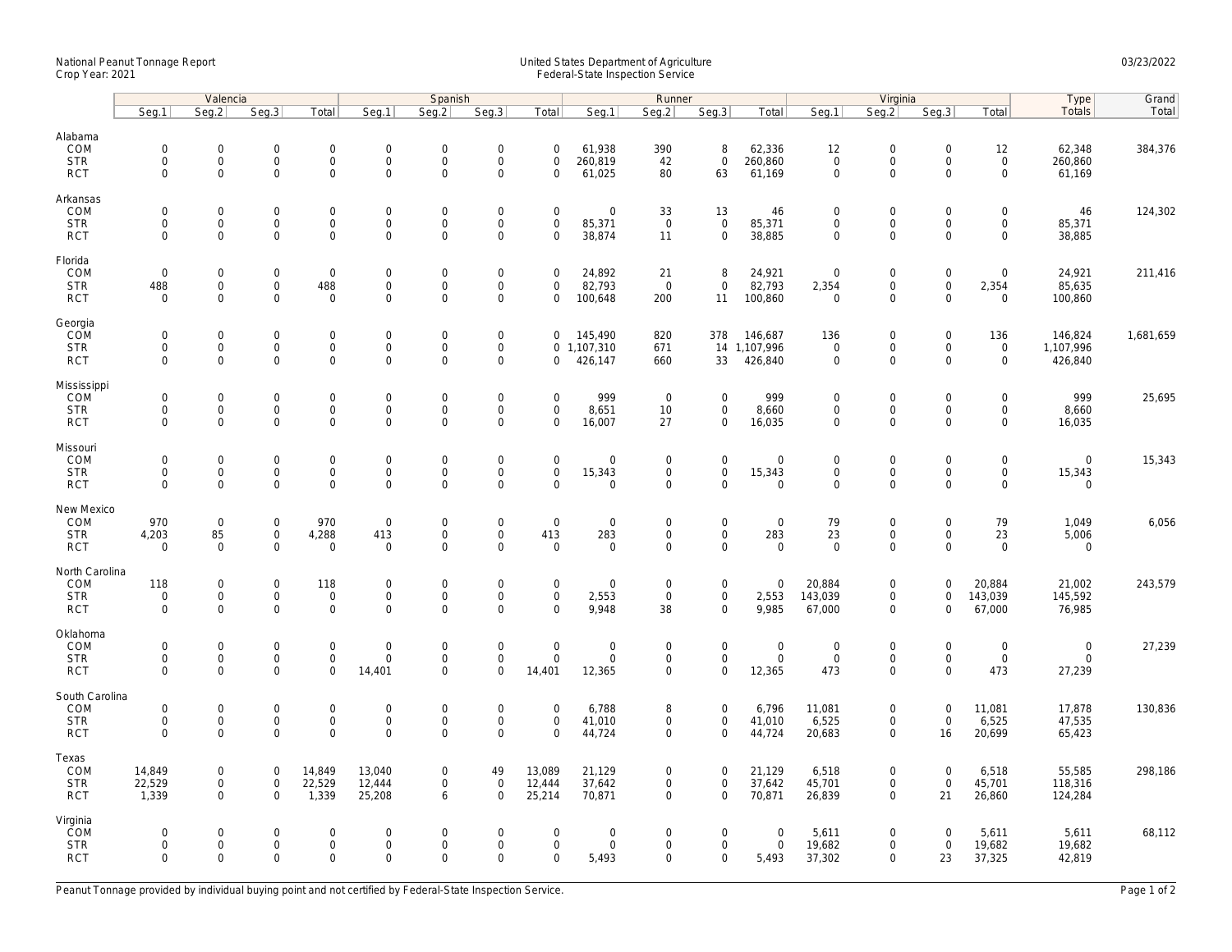## National Peanut Tonnage Report United States Department of Agriculture 03/23/2022<br>Crop Year: 2021 Federal-State Inspection Service

|                                                   | Valencia                                                   |                                            |                                                                |                                                   | Spanish                                        |                                                        |                                                                   |                                                                   |                                      | Runner                                               |                                                    |                                           | Virginia                                  |                                                        |                                                   |                                                   | Type                                              | Grand     |
|---------------------------------------------------|------------------------------------------------------------|--------------------------------------------|----------------------------------------------------------------|---------------------------------------------------|------------------------------------------------|--------------------------------------------------------|-------------------------------------------------------------------|-------------------------------------------------------------------|--------------------------------------|------------------------------------------------------|----------------------------------------------------|-------------------------------------------|-------------------------------------------|--------------------------------------------------------|---------------------------------------------------|---------------------------------------------------|---------------------------------------------------|-----------|
|                                                   | Seg.1                                                      | Seq.2                                      | Seg.3                                                          | Total                                             | Seg.1                                          | Seq.2                                                  | Seg.3                                                             | Total                                                             | Seg.1                                | Seg.2                                                | Seq.3                                              | Total                                     | Seq.1                                     | Seq.2                                                  | Seg.3                                             | Total                                             | <b>Totals</b>                                     | Total     |
| Alabama<br>COM<br><b>STR</b><br><b>RCT</b>        | $\mathsf{O}\xspace$<br>0<br>$\mathbf 0$                    | 0<br>$\mathsf{O}\xspace$<br>$\overline{0}$ | $\boldsymbol{0}$<br>$\mathsf{O}\xspace$<br>$\mathsf{O}\xspace$ | $\mathbf 0$<br>$\mathsf{O}\xspace$<br>$\mathbf 0$ | $\mathbf 0$<br>$\mathbf 0$<br>$\mathbf 0$      | $\mathbf 0$<br>$\mathbf 0$<br>$\mathbf 0$              | $\mathsf{O}\xspace$<br>$\mathsf{O}\xspace$<br>$\mathsf{O}\xspace$ | $\mathsf{O}\xspace$<br>$\mathsf{O}\xspace$<br>$\mathsf{O}\xspace$ | 61,938<br>260,819<br>61,025          | 390<br>42<br>80                                      | 8<br>$\mathsf{O}\xspace$<br>63                     | 62,336<br>260,860<br>61,169               | 12<br>$\mathbf 0$<br>$\mathbf 0$          | $\mathbf 0$<br>$\mathsf{O}\xspace$<br>$\mathbf 0$      | $\mathsf{O}\xspace$<br>$\mathbf 0$<br>$\mathbf 0$ | 12<br>$\mathsf{O}\xspace$<br>$\mathsf{O}\xspace$  | 62,348<br>260,860<br>61,169                       | 384,376   |
| Arkansas<br>COM<br><b>STR</b><br><b>RCT</b>       | $\mathbf 0$<br>$\mathbf 0$<br>$\mathbf{0}$                 | 0<br>$\overline{0}$<br>0                   | $\mathbf 0$<br>$\mathbf 0$<br>$\mathsf{O}\xspace$              | $\mathsf 0$<br>$\mathbf{0}$<br>$\mathsf 0$        | $\mathbf 0$<br>$\mathbf{0}$<br>$\mathbf 0$     | $\mathbf 0$<br>$\mathbf 0$<br>$\mathbf 0$              | $\mathbf 0$<br>$\mathsf{O}\xspace$<br>$\mathbf 0$                 | $\mathbf 0$<br>$\mathbf 0$<br>$\mathsf{O}\xspace$                 | 0<br>85,371<br>38,874                | 33<br>$\mathsf 0$<br>11                              | 13<br>$\mathbf{0}$<br>$\mathbf 0$                  | 46<br>85,371<br>38,885                    | $\mathbf 0$<br>$\mathbf 0$<br>$\mathbf 0$ | $\mathbf 0$<br>$\mathbf 0$<br>$\mathsf{O}\xspace$      | $\mathbf 0$<br>$\mathbf 0$<br>$\mathbf 0$         | 0<br>$\mathbf 0$<br>0                             | 46<br>85,371<br>38,885                            | 124,302   |
| Florida<br>COM<br><b>STR</b><br><b>RCT</b>        | $\mathsf{O}\xspace$<br>488<br>$\Omega$                     | 0<br>0<br>$\Omega$                         | $\mathsf 0$<br>$\mathsf{O}$<br>$\mathsf{O}\xspace$             | $\mathsf 0$<br>488<br>$\mathbf 0$                 | $\mathbf 0$<br>$\mathbf 0$<br>$\mathbf 0$      | $\mathsf{O}\xspace$<br>$\mathsf{O}\xspace$<br>$\Omega$ | $\mathsf{O}\xspace$<br>$\mathbf 0$<br>$\mathbf 0$                 | $\mathbf 0$<br>$\mathbf 0$<br>$\mathbf 0$                         | 24,892<br>82,793<br>100,648          | 21<br>$\overline{0}$<br>200                          | 8<br>$\mathsf 0$<br>11                             | 24,921<br>82,793<br>100,860               | $\mathbf 0$<br>2,354<br>$\Omega$          | $\boldsymbol{0}$<br>$\mathsf{O}\xspace$<br>$\Omega$    | $\mathsf{O}\xspace$<br>$\mathbf 0$<br>$\Omega$    | 0<br>2,354<br>0                                   | 24,921<br>85,635<br>100,860                       | 211,416   |
| Georgia<br>COM<br><b>STR</b><br><b>RCT</b>        | $\mathsf{O}\xspace$<br>$\mathbf 0$<br>$\mathbf{0}$         | 0<br>0<br>$\overline{0}$                   | $\mathsf 0$<br>$\mathsf{O}\xspace$<br>$\mathbf 0$              | $\mathbf 0$<br>$\mathsf{O}\xspace$<br>$\mathbf 0$ | $\mathbf 0$<br>$\mathbf 0$<br>$\mathbf{0}$     | $\mathbf 0$<br>$\mathsf{O}\xspace$<br>$\mathbf 0$      | $\mathsf{O}\xspace$<br>$\mathsf{O}\xspace$<br>$\mathbf 0$         | $\mathbf 0$<br>$\mathbf 0$<br>$\mathbf 0$                         | 145,490<br>1,107,310<br>426,147      | 820<br>671<br>660                                    | 378<br>33                                          | 146,687<br>14 1,107,996<br>426,840        | 136<br>$\mathbf 0$<br>$\mathbf 0$         | $\boldsymbol{0}$<br>$\mathsf{O}\xspace$<br>$\Omega$    | $\mathsf{O}\xspace$<br>$\mathbf 0$<br>$\Omega$    | 136<br>$\mathbf 0$<br>$\mathbf 0$                 | 146,824<br>1,107,996<br>426,840                   | 1,681,659 |
| Mississippi<br>COM<br><b>STR</b><br><b>RCT</b>    | $\mathbf 0$<br>$\mathsf{O}\xspace$<br>$\mathbf 0$          | $\mathbf{0}$<br>0<br>0                     | $\overline{0}$<br>$\mathsf{O}\xspace$<br>$\mathbf 0$           | $\mathbf{0}$<br>$\mathsf{O}$<br>$\mathsf 0$       | $\mathbf 0$<br>$\boldsymbol{0}$<br>$\mathbf 0$ | $\mathbf 0$<br>$\mathbf 0$<br>$\mathbf 0$              | $\mathsf{O}\xspace$<br>$\mathsf{O}\xspace$<br>$\mathbf 0$         | $\mathbf 0$<br>$\mathsf{O}\xspace$<br>$\mathbf 0$                 | 999<br>8,651<br>16,007               | $\mathbf 0$<br>10<br>27                              | $\mathbf 0$<br>$\mathsf{O}$<br>$\mathbf 0$         | 999<br>8,660<br>16,035                    | $\mathbf 0$<br>$\mathbf 0$<br>$\mathbf 0$ | $\boldsymbol{0}$<br>$\mathsf{O}\xspace$<br>$\Omega$    | $\mathbf 0$<br>$\mathbf 0$<br>$\mathbf 0$         | $\mathbf 0$<br>$\mathsf{O}\xspace$<br>$\mathbf 0$ | 999<br>8,660<br>16,035                            | 25,695    |
| Missouri<br>COM<br><b>STR</b><br><b>RCT</b>       | $\mathbf 0$<br>$\mathbf 0$<br>$\mathbf 0$                  | $\mathbf{0}$<br>0<br>0                     | $\mathbf 0$<br>$\mathsf{O}$<br>$\mathbf 0$                     | $\mathsf{O}$<br>$\mathsf{O}$<br>$\mathbf 0$       | $\mathbf{0}$<br>$\mathbf 0$<br>$\mathbf 0$     | $\mathbf 0$<br>$\mathsf{O}\xspace$<br>$\mathbf 0$      | $\mathbf 0$<br>$\mathsf{O}\xspace$<br>$\mathbf 0$                 | $\mathbf 0$<br>$\mathsf{O}\xspace$<br>$\mathbf 0$                 | $\mathbf 0$<br>15,343<br>$\mathbf 0$ | $\overline{0}$<br>$\mathsf{O}\xspace$<br>$\mathbf 0$ | $\mathbf 0$<br>$\mathsf{O}\xspace$<br>$\mathbf 0$  | $\mathbf 0$<br>15,343<br>$\mathbf 0$      | $\mathbf 0$<br>$\mathbf 0$<br>$\mathbf 0$ | $\mathbf 0$<br>$\mathsf{O}\xspace$<br>$\Omega$         | $\mathbf 0$<br>$\mathsf{O}\xspace$<br>$\mathbf 0$ | $\mathbf 0$<br>0<br>0                             | $\mathbf 0$<br>15,343<br>$\mathbf 0$              | 15,343    |
| New Mexico<br>COM<br><b>STR</b><br><b>RCT</b>     | 970<br>4,203<br>$\mathbf 0$                                | $\mathbf 0$<br>85<br>$\mathbf 0$           | $\mathbf 0$<br>$\overline{0}$<br>$\mathsf{O}\xspace$           | 970<br>4,288<br>$\mathsf 0$                       | $\mathbf 0$<br>413<br>$\mathbf 0$              | $\mathsf{O}\xspace$<br>$\Omega$<br>$\mathbf 0$         | $\mathbf 0$<br>$\overline{0}$<br>$\overline{0}$                   | $\mathsf{O}\xspace$<br>413<br>$\mathbf 0$                         | 0<br>283<br>$\mathbf 0$              | $\mathbf 0$<br>$\mathsf 0$<br>$\mathsf{O}\xspace$    | $\mathsf 0$<br>$\mathsf{O}\xspace$<br>$\mathbf 0$  | $\mathbf 0$<br>283<br>$\mathbf 0$         | 79<br>23<br>$\overline{0}$                | $\mathbf 0$<br>$\mathsf{O}\xspace$<br>$\mathbf 0$      | $\mathbf 0$<br>$\mathbf 0$<br>$\mathbf 0$         | 79<br>23<br>$\mathbf 0$                           | 1,049<br>5,006<br>$\mathbf 0$                     | 6,056     |
| North Carolina<br>COM<br><b>STR</b><br><b>RCT</b> | 118<br>$\mathsf{O}\xspace$<br>$\mathbf 0$                  | 0<br>0<br>0                                | $\mathsf 0$<br>$\mathsf{O}\xspace$<br>$\mathsf{O}\xspace$      | 118<br>$\mathbf 0$<br>$\mathsf 0$                 | $\boldsymbol{0}$<br>$\mathbf 0$<br>$\mathbf 0$ | $\mathbf 0$<br>$\Omega$<br>$\mathbf 0$                 | $\mathsf{O}\xspace$<br>$\mathsf{O}\xspace$<br>$\mathbf 0$         | $\mathsf{O}\xspace$<br>$\mathbf 0$<br>$\mathbf 0$                 | 0<br>2,553<br>9,948                  | $\mathbf 0$<br>$\mathsf{O}$<br>38                    | $\mathsf{O}$<br>$\mathsf{O}\xspace$<br>$\mathbf 0$ | $\mathbf 0$<br>2,553<br>9,985             | 20,884<br>143,039<br>67,000               | $\boldsymbol{0}$<br>$\mathsf{O}\xspace$<br>$\mathbf 0$ | $\mathbf 0$<br>$\mathbf 0$<br>$\mathbf 0$         | 20,884<br>143,039<br>67,000                       | 21,002<br>145,592<br>76,985                       | 243,579   |
| Oklahoma<br>COM<br><b>STR</b><br><b>RCT</b>       | $\mathsf{O}\xspace$<br>$\mathsf{O}\xspace$<br>$\mathbf{0}$ | 0<br>0<br>0                                | $\mathsf{O}\xspace$<br>$\mathsf{O}$<br>$\mathbf 0$             | $\mathbf 0$<br>$\mathbf 0$<br>$\mathbf 0$         | $\boldsymbol{0}$<br>$\mathbf 0$<br>14,401      | $\mathbf 0$<br>$\mathbf 0$<br>$\mathbf 0$              | $\mathsf{O}\xspace$<br>$\mathsf{O}\xspace$<br>$\mathbf 0$         | $\mathsf{O}\xspace$<br>$\mathsf{O}\xspace$<br>14,401              | 0<br>0<br>12,365                     | $\mathbf 0$<br>$\mathsf 0$<br>$\mathsf{O}\xspace$    | $\mathsf 0$<br>$\mathbf 0$<br>$\mathsf 0$          | $\boldsymbol{0}$<br>$\mathbf 0$<br>12,365 | $\mathbf 0$<br>$\mathbf 0$<br>473         | $\mathbf 0$<br>$\mathsf 0$<br>0                        | $\mathbf 0$<br>$\mathsf{O}\xspace$<br>$\mathbf 0$ | 0<br>$\mathsf{O}\xspace$<br>473                   | $\boldsymbol{0}$<br>$\mathsf{O}\xspace$<br>27,239 | 27,239    |
| South Carolina<br>COM<br><b>STR</b><br><b>RCT</b> | $\mathsf{O}\xspace$<br>$\mathsf{O}\xspace$<br>$\Omega$     | 0<br>0<br>$\Omega$                         | $\mathsf 0$<br>$\mathsf{O}$<br>$\mathbf 0$                     | $\mathsf 0$<br>$\mathsf{O}\xspace$<br>$\mathbf 0$ | $\mathbf 0$<br>$\mathbf 0$<br>$\Omega$         | $\mathsf{O}\xspace$<br>$\mathsf{O}\xspace$<br>$\Omega$ | $\mathbf 0$<br>$\mathbf 0$<br>$\Omega$                            | $\mathbf 0$<br>$\mathsf{O}\xspace$<br>$\Omega$                    | 6,788<br>41,010<br>44,724            | 8<br>$\mathbf 0$<br>$\overline{0}$                   | $\mathsf 0$<br>$\mathbf 0$<br>$\mathbf{0}$         | 6,796<br>41,010<br>44,724                 | 11,081<br>6,525<br>20,683                 | $\mathsf 0$<br>$\mathsf 0$<br>$\Omega$                 | $\mathsf{O}\xspace$<br>$\mathbf 0$<br>16          | 11,081<br>6,525<br>20,699                         | 17,878<br>47,535<br>65,423                        | 130,836   |
| Texas<br>COM<br><b>STR</b><br><b>RCT</b>          | 14,849<br>22,529<br>1,339                                  | 0<br>0<br>$\mathbf{0}$                     | $\mathbf 0$<br>$\mathsf{O}\xspace$<br>$\mathbf 0$              | 14,849<br>22,529<br>1,339                         | 13,040<br>12,444<br>25,208                     | $\mathbf 0$<br>$\mathsf{O}\xspace$<br>6                | 49<br>$\mathsf{O}\xspace$<br>$\mathbf 0$                          | 13,089<br>12,444<br>25,214                                        | 21,129<br>37,642<br>70,871           | $\mathbf 0$<br>$\mathsf{O}\xspace$<br>$\mathbf 0$    | $\mathbf 0$<br>$\mathsf{O}\xspace$<br>$\mathbf{0}$ | 21,129<br>37,642<br>70,871                | 6,518<br>45,701<br>26,839                 | $\mathbf 0$<br>$\mathsf{O}\xspace$<br>$\Omega$         | $\mathsf{O}\xspace$<br>$\mathbf 0$<br>21          | 6,518<br>45,701<br>26,860                         | 55,585<br>118,316<br>124,284                      | 298,186   |
| Virginia<br>COM<br><b>STR</b><br><b>RCT</b>       | 0<br>$\mathbf 0$<br>$\mathbf 0$                            | $\mathbf{0}$<br>0<br>0                     | $\mathbf 0$<br>$\mathsf{O}$<br>$\mathbf 0$                     | $\mathbf{0}$<br>$\mathsf{O}$<br>$\mathsf 0$       | $\mathbf 0$<br>$\boldsymbol{0}$<br>$\mathbf 0$ | $\Omega$<br>$\mathsf{O}\xspace$<br>$\mathbf 0$         | $\mathbf 0$<br>$\mathsf{O}\xspace$<br>$\mathbf 0$                 | $\mathbf 0$<br>$\mathsf{O}\xspace$<br>$\mathbf 0$                 | 0<br>0<br>5,493                      | $\mathbf 0$<br>$\mathbf 0$<br>$\mathbf 0$            | $\mathbf{0}$<br>$\mathsf{O}\xspace$<br>$\mathbf 0$ | $\mathbf 0$<br>$\mathsf 0$<br>5,493       | 5,611<br>19,682<br>37,302                 | $\mathbf 0$<br>$\mathsf 0$<br>$\Omega$                 | $\Omega$<br>$\mathsf{O}\xspace$<br>23             | 5,611<br>19,682<br>37,325                         | 5,611<br>19,682<br>42,819                         | 68,112    |

Peanut Tonnage provided by individual buying point and not certified by Federal-State Inspection Service. Page 1 of 2